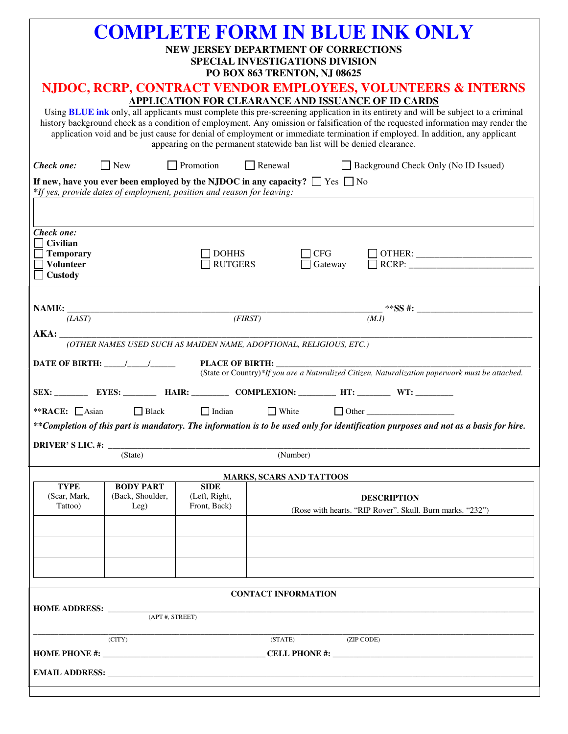| <b>COMPLETE FORM IN BLUE INK ONLY</b>                                                                                                                                                                                                                                                                                                                                                                                                                                                                                                                                                                   |                                                                        |                                              |                                                                                                                                                                                                                                                                                                                                                                                                                                                                               |  |  |
|---------------------------------------------------------------------------------------------------------------------------------------------------------------------------------------------------------------------------------------------------------------------------------------------------------------------------------------------------------------------------------------------------------------------------------------------------------------------------------------------------------------------------------------------------------------------------------------------------------|------------------------------------------------------------------------|----------------------------------------------|-------------------------------------------------------------------------------------------------------------------------------------------------------------------------------------------------------------------------------------------------------------------------------------------------------------------------------------------------------------------------------------------------------------------------------------------------------------------------------|--|--|
|                                                                                                                                                                                                                                                                                                                                                                                                                                                                                                                                                                                                         |                                                                        |                                              | NEW JERSEY DEPARTMENT OF CORRECTIONS<br><b>SPECIAL INVESTIGATIONS DIVISION</b><br>PO BOX 863 TRENTON, NJ 08625                                                                                                                                                                                                                                                                                                                                                                |  |  |
| NJDOC, RCRP, CONTRACT VENDOR EMPLOYEES, VOLUNTEERS & INTERNS<br>APPLICATION FOR CLEARANCE AND ISSUANCE OF ID CARDS<br>Using BLUE ink only, all applicants must complete this pre-screening application in its entirety and will be subject to a criminal<br>history background check as a condition of employment. Any omission or falsification of the requested information may render the<br>application void and be just cause for denial of employment or immediate termination if employed. In addition, any applicant<br>appearing on the permanent statewide ban list will be denied clearance. |                                                                        |                                              |                                                                                                                                                                                                                                                                                                                                                                                                                                                                               |  |  |
| Check one:                                                                                                                                                                                                                                                                                                                                                                                                                                                                                                                                                                                              | $\Box$ New                                                             | $\Box$ Promotion                             | $\Box$ Renewal<br>Background Check Only (No ID Issued)                                                                                                                                                                                                                                                                                                                                                                                                                        |  |  |
|                                                                                                                                                                                                                                                                                                                                                                                                                                                                                                                                                                                                         | *If yes, provide dates of employment, position and reason for leaving: |                                              | If new, have you ever been employed by the NJDOC in any capacity? $\Box$ Yes $\Box$ No                                                                                                                                                                                                                                                                                                                                                                                        |  |  |
| Check one:<br><b>Civilian</b><br>$\Box$ Temporary<br>Volunteer<br>$\Box$ Custody                                                                                                                                                                                                                                                                                                                                                                                                                                                                                                                        |                                                                        | <b>DOHHS</b><br><b>RUTGERS</b>               | <b>CFG</b><br>$RCRP: \begin{tabular}{ c c c c } \hline \multicolumn{3}{ c }{\textbf{RCRP:}} & \multicolumn{3}{ c }{\textbf{CCRP:}} \\ \hline \multicolumn{3}{ c }{\textbf{RCRP:}} & \multicolumn{3}{ c }{\textbf{CCRP:}} \\ \hline \multicolumn{3}{ c }{\textbf{CSP:}} & \multicolumn{3}{ c }{\textbf{CCRP:}} \\ \hline \multicolumn{3}{ c }{\textbf{CSP:}} & \multicolumn{3}{ c }{\textbf{CCRP:}} \\ \hline \multicolumn{3}{ c }{\textbf{CSP:}} & \multicolumn{3$<br>Gateway |  |  |
| (LAST)                                                                                                                                                                                                                                                                                                                                                                                                                                                                                                                                                                                                  | $\overline{(FIRST)}$<br>(M.I)                                          |                                              |                                                                                                                                                                                                                                                                                                                                                                                                                                                                               |  |  |
|                                                                                                                                                                                                                                                                                                                                                                                                                                                                                                                                                                                                         |                                                                        |                                              | (OTHER NAMES USED SUCH AS MAIDEN NAME, ADOPTIONAL, RELIGIOUS, ETC.)                                                                                                                                                                                                                                                                                                                                                                                                           |  |  |
|                                                                                                                                                                                                                                                                                                                                                                                                                                                                                                                                                                                                         | DATE OF BIRTH: $\frac{\sqrt{2}}{2}$                                    |                                              | PLACE OF BIRTH:<br>(State or Country)*If you are a Naturalized Citizen, Naturalization paperwork must be attached.                                                                                                                                                                                                                                                                                                                                                            |  |  |
| ** $RACE:$ Asian                                                                                                                                                                                                                                                                                                                                                                                                                                                                                                                                                                                        | $\Box$ Black                                                           | $\Box$ Indian                                | SEX: EYES: HAIR: COMPLEXION: HT: WT: WI:<br>$\Box$ White $\Box$ Other $\Box$                                                                                                                                                                                                                                                                                                                                                                                                  |  |  |
|                                                                                                                                                                                                                                                                                                                                                                                                                                                                                                                                                                                                         |                                                                        |                                              | **Completion of this part is mandatory. The information is to be used only for identification purposes and not as a basis for hire.                                                                                                                                                                                                                                                                                                                                           |  |  |
| DRIVER'S LIC. #:                                                                                                                                                                                                                                                                                                                                                                                                                                                                                                                                                                                        | (State)                                                                |                                              | (Number)                                                                                                                                                                                                                                                                                                                                                                                                                                                                      |  |  |
|                                                                                                                                                                                                                                                                                                                                                                                                                                                                                                                                                                                                         |                                                                        |                                              | <b>MARKS, SCARS AND TATTOOS</b>                                                                                                                                                                                                                                                                                                                                                                                                                                               |  |  |
| <b>TYPE</b><br>(Scar, Mark,<br>Tattoo)                                                                                                                                                                                                                                                                                                                                                                                                                                                                                                                                                                  | <b>BODY PART</b><br>(Back, Shoulder,<br>Leg)                           | <b>SIDE</b><br>(Left, Right,<br>Front, Back) | <b>DESCRIPTION</b><br>(Rose with hearts. "RIP Rover". Skull. Burn marks. "232")                                                                                                                                                                                                                                                                                                                                                                                               |  |  |
|                                                                                                                                                                                                                                                                                                                                                                                                                                                                                                                                                                                                         |                                                                        |                                              |                                                                                                                                                                                                                                                                                                                                                                                                                                                                               |  |  |
| <b>CONTACT INFORMATION</b>                                                                                                                                                                                                                                                                                                                                                                                                                                                                                                                                                                              |                                                                        |                                              |                                                                                                                                                                                                                                                                                                                                                                                                                                                                               |  |  |
| <b>HOME ADDRESS:</b><br>$\overline{(APT#,STREET)}$                                                                                                                                                                                                                                                                                                                                                                                                                                                                                                                                                      |                                                                        |                                              |                                                                                                                                                                                                                                                                                                                                                                                                                                                                               |  |  |
| (STATE)<br>(ZIP CODE)<br>(CITY)                                                                                                                                                                                                                                                                                                                                                                                                                                                                                                                                                                         |                                                                        |                                              |                                                                                                                                                                                                                                                                                                                                                                                                                                                                               |  |  |
|                                                                                                                                                                                                                                                                                                                                                                                                                                                                                                                                                                                                         |                                                                        |                                              |                                                                                                                                                                                                                                                                                                                                                                                                                                                                               |  |  |
|                                                                                                                                                                                                                                                                                                                                                                                                                                                                                                                                                                                                         |                                                                        |                                              |                                                                                                                                                                                                                                                                                                                                                                                                                                                                               |  |  |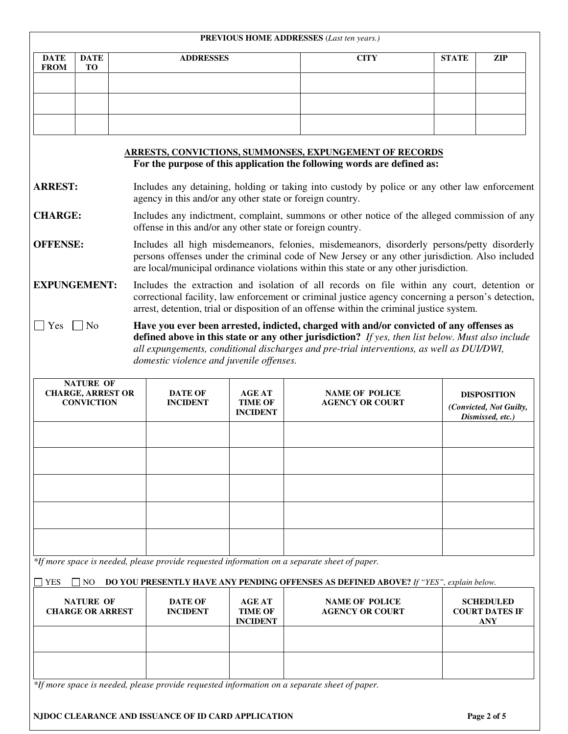| <b>ADDRESSES</b><br><b>CITY</b><br><b>DATE</b><br><b>DATE</b><br><b>STATE</b><br><b>FROM</b><br><b>TO</b><br><b>ARRESTS, CONVICTIONS, SUMMONSES, EXPUNGEMENT OF RECORDS</b><br>For the purpose of this application the following words are defined as:<br>Includes any detaining, holding or taking into custody by police or any other law enforcement<br>agency in this and/or any other state or foreign country.<br>Includes any indictment, complaint, summons or other notice of the alleged commission of any<br>offense in this and/or any other state or foreign country.<br>Includes all high misdemeanors, felonies, misdemeanors, disorderly persons/petty disorderly<br>persons offenses under the criminal code of New Jersey or any other jurisdiction. Also included<br>are local/municipal ordinance violations within this state or any other jurisdiction.<br>Includes the extraction and isolation of all records on file within any court, detention or<br>correctional facility, law enforcement or criminal justice agency concerning a person's detection,<br>arrest, detention, trial or disposition of an offense within the criminal justice system.<br>Have you ever been arrested, indicted, charged with and/or convicted of any offenses as<br>Yes<br>$\overline{\phantom{a}}$ No<br>defined above in this state or any other jurisdiction? If yes, then list below. Must also include<br>all expungements, conditional discharges and pre-trial interventions, as well as DUI/DWI,<br>domestic violence and juvenile offenses.<br><b>NATURE OF</b><br><b>CHARGE, ARREST OR</b><br><b>DATE OF</b><br><b>AGE AT</b><br><b>NAME OF POLICE</b><br><b>DISPOSITION</b><br><b>CONVICTION</b><br><b>INCIDENT</b><br><b>TIME OF</b><br><b>AGENCY OR COURT</b><br>(Convicted, Not Guilty,<br><b>INCIDENT</b><br>Dismissed, etc.)<br>DO YOU PRESENTLY HAVE ANY PENDING OFFENSES AS DEFINED ABOVE? If "YES", explain below.<br><b>YES</b><br>N <sub>O</sub><br><b>NATURE OF</b><br><b>DATE OF</b><br><b>AGE AT</b><br><b>NAME OF POLICE</b><br><b>SCHEDULED</b><br><b>AGENCY OR COURT</b><br><b>CHARGE OR ARREST</b><br><b>INCIDENT</b><br><b>TIME OF</b><br><b>COURT DATES IF</b><br><b>INCIDENT</b><br><b>ANY</b> |  |  |  | <b>PREVIOUS HOME ADDRESSES</b> (Last ten years.) |            |
|-----------------------------------------------------------------------------------------------------------------------------------------------------------------------------------------------------------------------------------------------------------------------------------------------------------------------------------------------------------------------------------------------------------------------------------------------------------------------------------------------------------------------------------------------------------------------------------------------------------------------------------------------------------------------------------------------------------------------------------------------------------------------------------------------------------------------------------------------------------------------------------------------------------------------------------------------------------------------------------------------------------------------------------------------------------------------------------------------------------------------------------------------------------------------------------------------------------------------------------------------------------------------------------------------------------------------------------------------------------------------------------------------------------------------------------------------------------------------------------------------------------------------------------------------------------------------------------------------------------------------------------------------------------------------------------------------------------------------------------------------------------------------------------------------------------------------------------------------------------------------------------------------------------------------------------------------------------------------------------------------------------------------------------------------------------------------------------------------------------------------------------------------------------------------------------------------------------------------------------------|--|--|--|--------------------------------------------------|------------|
| <b>ARREST:</b><br><b>CHARGE:</b><br><b>OFFENSE:</b><br><b>EXPUNGEMENT:</b><br>*If more space is needed, please provide requested information on a separate sheet of paper.                                                                                                                                                                                                                                                                                                                                                                                                                                                                                                                                                                                                                                                                                                                                                                                                                                                                                                                                                                                                                                                                                                                                                                                                                                                                                                                                                                                                                                                                                                                                                                                                                                                                                                                                                                                                                                                                                                                                                                                                                                                              |  |  |  |                                                  | <b>ZIP</b> |
|                                                                                                                                                                                                                                                                                                                                                                                                                                                                                                                                                                                                                                                                                                                                                                                                                                                                                                                                                                                                                                                                                                                                                                                                                                                                                                                                                                                                                                                                                                                                                                                                                                                                                                                                                                                                                                                                                                                                                                                                                                                                                                                                                                                                                                         |  |  |  |                                                  |            |
|                                                                                                                                                                                                                                                                                                                                                                                                                                                                                                                                                                                                                                                                                                                                                                                                                                                                                                                                                                                                                                                                                                                                                                                                                                                                                                                                                                                                                                                                                                                                                                                                                                                                                                                                                                                                                                                                                                                                                                                                                                                                                                                                                                                                                                         |  |  |  |                                                  |            |
|                                                                                                                                                                                                                                                                                                                                                                                                                                                                                                                                                                                                                                                                                                                                                                                                                                                                                                                                                                                                                                                                                                                                                                                                                                                                                                                                                                                                                                                                                                                                                                                                                                                                                                                                                                                                                                                                                                                                                                                                                                                                                                                                                                                                                                         |  |  |  |                                                  |            |
|                                                                                                                                                                                                                                                                                                                                                                                                                                                                                                                                                                                                                                                                                                                                                                                                                                                                                                                                                                                                                                                                                                                                                                                                                                                                                                                                                                                                                                                                                                                                                                                                                                                                                                                                                                                                                                                                                                                                                                                                                                                                                                                                                                                                                                         |  |  |  |                                                  |            |
|                                                                                                                                                                                                                                                                                                                                                                                                                                                                                                                                                                                                                                                                                                                                                                                                                                                                                                                                                                                                                                                                                                                                                                                                                                                                                                                                                                                                                                                                                                                                                                                                                                                                                                                                                                                                                                                                                                                                                                                                                                                                                                                                                                                                                                         |  |  |  |                                                  |            |
|                                                                                                                                                                                                                                                                                                                                                                                                                                                                                                                                                                                                                                                                                                                                                                                                                                                                                                                                                                                                                                                                                                                                                                                                                                                                                                                                                                                                                                                                                                                                                                                                                                                                                                                                                                                                                                                                                                                                                                                                                                                                                                                                                                                                                                         |  |  |  |                                                  |            |
|                                                                                                                                                                                                                                                                                                                                                                                                                                                                                                                                                                                                                                                                                                                                                                                                                                                                                                                                                                                                                                                                                                                                                                                                                                                                                                                                                                                                                                                                                                                                                                                                                                                                                                                                                                                                                                                                                                                                                                                                                                                                                                                                                                                                                                         |  |  |  |                                                  |            |
|                                                                                                                                                                                                                                                                                                                                                                                                                                                                                                                                                                                                                                                                                                                                                                                                                                                                                                                                                                                                                                                                                                                                                                                                                                                                                                                                                                                                                                                                                                                                                                                                                                                                                                                                                                                                                                                                                                                                                                                                                                                                                                                                                                                                                                         |  |  |  |                                                  |            |
|                                                                                                                                                                                                                                                                                                                                                                                                                                                                                                                                                                                                                                                                                                                                                                                                                                                                                                                                                                                                                                                                                                                                                                                                                                                                                                                                                                                                                                                                                                                                                                                                                                                                                                                                                                                                                                                                                                                                                                                                                                                                                                                                                                                                                                         |  |  |  |                                                  |            |
|                                                                                                                                                                                                                                                                                                                                                                                                                                                                                                                                                                                                                                                                                                                                                                                                                                                                                                                                                                                                                                                                                                                                                                                                                                                                                                                                                                                                                                                                                                                                                                                                                                                                                                                                                                                                                                                                                                                                                                                                                                                                                                                                                                                                                                         |  |  |  |                                                  |            |
|                                                                                                                                                                                                                                                                                                                                                                                                                                                                                                                                                                                                                                                                                                                                                                                                                                                                                                                                                                                                                                                                                                                                                                                                                                                                                                                                                                                                                                                                                                                                                                                                                                                                                                                                                                                                                                                                                                                                                                                                                                                                                                                                                                                                                                         |  |  |  |                                                  |            |
|                                                                                                                                                                                                                                                                                                                                                                                                                                                                                                                                                                                                                                                                                                                                                                                                                                                                                                                                                                                                                                                                                                                                                                                                                                                                                                                                                                                                                                                                                                                                                                                                                                                                                                                                                                                                                                                                                                                                                                                                                                                                                                                                                                                                                                         |  |  |  |                                                  |            |
|                                                                                                                                                                                                                                                                                                                                                                                                                                                                                                                                                                                                                                                                                                                                                                                                                                                                                                                                                                                                                                                                                                                                                                                                                                                                                                                                                                                                                                                                                                                                                                                                                                                                                                                                                                                                                                                                                                                                                                                                                                                                                                                                                                                                                                         |  |  |  |                                                  |            |
|                                                                                                                                                                                                                                                                                                                                                                                                                                                                                                                                                                                                                                                                                                                                                                                                                                                                                                                                                                                                                                                                                                                                                                                                                                                                                                                                                                                                                                                                                                                                                                                                                                                                                                                                                                                                                                                                                                                                                                                                                                                                                                                                                                                                                                         |  |  |  |                                                  |            |
|                                                                                                                                                                                                                                                                                                                                                                                                                                                                                                                                                                                                                                                                                                                                                                                                                                                                                                                                                                                                                                                                                                                                                                                                                                                                                                                                                                                                                                                                                                                                                                                                                                                                                                                                                                                                                                                                                                                                                                                                                                                                                                                                                                                                                                         |  |  |  |                                                  |            |
|                                                                                                                                                                                                                                                                                                                                                                                                                                                                                                                                                                                                                                                                                                                                                                                                                                                                                                                                                                                                                                                                                                                                                                                                                                                                                                                                                                                                                                                                                                                                                                                                                                                                                                                                                                                                                                                                                                                                                                                                                                                                                                                                                                                                                                         |  |  |  |                                                  |            |
|                                                                                                                                                                                                                                                                                                                                                                                                                                                                                                                                                                                                                                                                                                                                                                                                                                                                                                                                                                                                                                                                                                                                                                                                                                                                                                                                                                                                                                                                                                                                                                                                                                                                                                                                                                                                                                                                                                                                                                                                                                                                                                                                                                                                                                         |  |  |  |                                                  |            |
|                                                                                                                                                                                                                                                                                                                                                                                                                                                                                                                                                                                                                                                                                                                                                                                                                                                                                                                                                                                                                                                                                                                                                                                                                                                                                                                                                                                                                                                                                                                                                                                                                                                                                                                                                                                                                                                                                                                                                                                                                                                                                                                                                                                                                                         |  |  |  |                                                  |            |
|                                                                                                                                                                                                                                                                                                                                                                                                                                                                                                                                                                                                                                                                                                                                                                                                                                                                                                                                                                                                                                                                                                                                                                                                                                                                                                                                                                                                                                                                                                                                                                                                                                                                                                                                                                                                                                                                                                                                                                                                                                                                                                                                                                                                                                         |  |  |  |                                                  |            |
|                                                                                                                                                                                                                                                                                                                                                                                                                                                                                                                                                                                                                                                                                                                                                                                                                                                                                                                                                                                                                                                                                                                                                                                                                                                                                                                                                                                                                                                                                                                                                                                                                                                                                                                                                                                                                                                                                                                                                                                                                                                                                                                                                                                                                                         |  |  |  |                                                  |            |
| *If more space is needed, please provide requested information on a separate sheet of paper.                                                                                                                                                                                                                                                                                                                                                                                                                                                                                                                                                                                                                                                                                                                                                                                                                                                                                                                                                                                                                                                                                                                                                                                                                                                                                                                                                                                                                                                                                                                                                                                                                                                                                                                                                                                                                                                                                                                                                                                                                                                                                                                                            |  |  |  |                                                  |            |

**NJDOC CLEARANCE AND ISSUANCE OF ID CARD APPLICATION Page 2 of 5**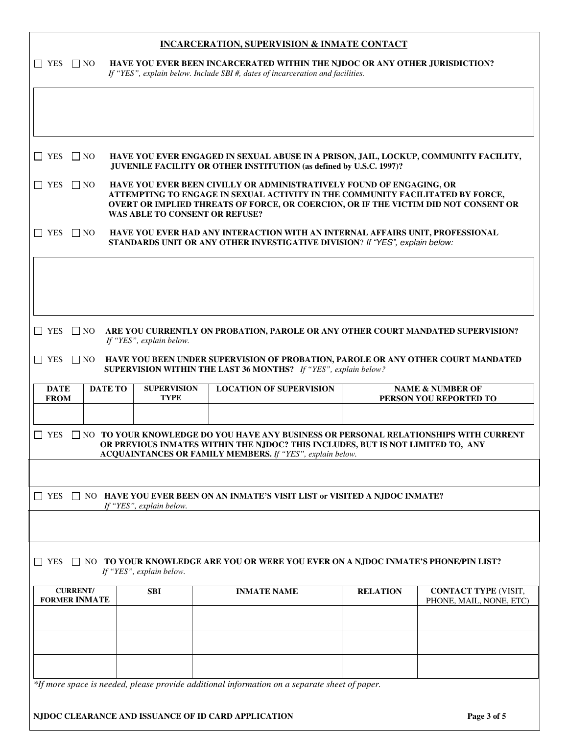|                            |                                                                                                                                                                                                                                                                                 |                                                                                                               | <b>INCARCERATION, SUPERVISION &amp; INMATE CONTACT</b>                                                                                                        |  |  |  |
|----------------------------|---------------------------------------------------------------------------------------------------------------------------------------------------------------------------------------------------------------------------------------------------------------------------------|---------------------------------------------------------------------------------------------------------------|---------------------------------------------------------------------------------------------------------------------------------------------------------------|--|--|--|
| $\Box$ YES $\Box$ NO       | HAVE YOU EVER BEEN INCARCERATED WITHIN THE NJDOC OR ANY OTHER JURISDICTION?<br>If "YES", explain below. Include SBI #, dates of incarceration and facilities.                                                                                                                   |                                                                                                               |                                                                                                                                                               |  |  |  |
|                            |                                                                                                                                                                                                                                                                                 |                                                                                                               |                                                                                                                                                               |  |  |  |
|                            |                                                                                                                                                                                                                                                                                 |                                                                                                               |                                                                                                                                                               |  |  |  |
| $\Box$ YES $\Box$ NO       |                                                                                                                                                                                                                                                                                 |                                                                                                               | HAVE YOU EVER ENGAGED IN SEXUAL ABUSE IN A PRISON, JAIL, LOCKUP, COMMUNITY FACILITY,<br>JUVENILE FACILITY OR OTHER INSTITUTION (as defined by U.S.C. 1997)?   |  |  |  |
| $\Box$ YES $\Box$ NO       | HAVE YOU EVER BEEN CIVILLY OR ADMINISTRATIVELY FOUND OF ENGAGING, OR<br>ATTEMPTING TO ENGAGE IN SEXUAL ACTIVITY IN THE COMMUNITY FACILITATED BY FORCE,<br>OVERT OR IMPLIED THREATS OF FORCE, OR COERCION, OR IF THE VICTIM DID NOT CONSENT OR<br>WAS ABLE TO CONSENT OR REFUSE? |                                                                                                               |                                                                                                                                                               |  |  |  |
| $\Box$ YES $\Box$ NO       |                                                                                                                                                                                                                                                                                 |                                                                                                               | HAVE YOU EVER HAD ANY INTERACTION WITH AN INTERNAL AFFAIRS UNIT, PROFESSIONAL<br>STANDARDS UNIT OR ANY OTHER INVESTIGATIVE DIVISION? If "YES", explain below: |  |  |  |
|                            |                                                                                                                                                                                                                                                                                 |                                                                                                               |                                                                                                                                                               |  |  |  |
|                            |                                                                                                                                                                                                                                                                                 |                                                                                                               |                                                                                                                                                               |  |  |  |
|                            |                                                                                                                                                                                                                                                                                 |                                                                                                               |                                                                                                                                                               |  |  |  |
| $\Box$ YES $\Box$ NO       |                                                                                                                                                                                                                                                                                 | If "YES", explain below.                                                                                      | ARE YOU CURRENTLY ON PROBATION, PAROLE OR ANY OTHER COURT MANDATED SUPERVISION?                                                                               |  |  |  |
| $\Box$ YES $\Box$ NO       |                                                                                                                                                                                                                                                                                 |                                                                                                               | HAVE YOU BEEN UNDER SUPERVISION OF PROBATION, PAROLE OR ANY OTHER COURT MANDATED<br>SUPERVISION WITHIN THE LAST 36 MONTHS? If "YES", explain below?           |  |  |  |
| <b>DATE</b><br><b>FROM</b> | <b>SUPERVISION</b><br><b>DATE TO</b><br><b>LOCATION OF SUPERVISION</b><br><b>NAME &amp; NUMBER OF</b><br><b>TYPE</b><br>PERSON YOU REPORTED TO                                                                                                                                  |                                                                                                               |                                                                                                                                                               |  |  |  |
|                            |                                                                                                                                                                                                                                                                                 |                                                                                                               |                                                                                                                                                               |  |  |  |
| $\Box$ YES                 | $\Box$ NO TO YOUR KNOWLEDGE DO YOU HAVE ANY BUSINESS OR PERSONAL RELATIONSHIPS WITH CURRENT<br>OR PREVIOUS INMATES WITHIN THE NJDOC? THIS INCLUDES, BUT IS NOT LIMITED TO, ANY<br><b>ACQUAINTANCES OR FAMILY MEMBERS.</b> If "YES", explain below.                              |                                                                                                               |                                                                                                                                                               |  |  |  |
|                            |                                                                                                                                                                                                                                                                                 |                                                                                                               |                                                                                                                                                               |  |  |  |
| l I YES                    | If "YES", explain below.                                                                                                                                                                                                                                                        |                                                                                                               | $\Box$ NO HAVE YOU EVER BEEN ON AN INMATE'S VISIT LIST or VISITED A NJDOC INMATE?                                                                             |  |  |  |
|                            |                                                                                                                                                                                                                                                                                 |                                                                                                               |                                                                                                                                                               |  |  |  |
| l I YES                    | If "YES", explain below.                                                                                                                                                                                                                                                        |                                                                                                               | $\Box$ NO TO YOUR KNOWLEDGE ARE YOU OR WERE YOU EVER ON A NJDOC INMATE'S PHONE/PIN LIST?                                                                      |  |  |  |
| <b>CURRENT/</b>            |                                                                                                                                                                                                                                                                                 | <b>SBI</b><br><b>INMATE NAME</b><br><b>RELATION</b><br><b>CONTACT TYPE (VISIT,</b><br>PHONE, MAIL, NONE, ETC) |                                                                                                                                                               |  |  |  |
| <b>FORMER INMATE</b>       |                                                                                                                                                                                                                                                                                 |                                                                                                               |                                                                                                                                                               |  |  |  |
|                            |                                                                                                                                                                                                                                                                                 |                                                                                                               |                                                                                                                                                               |  |  |  |
|                            |                                                                                                                                                                                                                                                                                 |                                                                                                               |                                                                                                                                                               |  |  |  |
|                            |                                                                                                                                                                                                                                                                                 |                                                                                                               |                                                                                                                                                               |  |  |  |
|                            |                                                                                                                                                                                                                                                                                 |                                                                                                               | *If more space is needed, please provide additional information on a separate sheet of paper.                                                                 |  |  |  |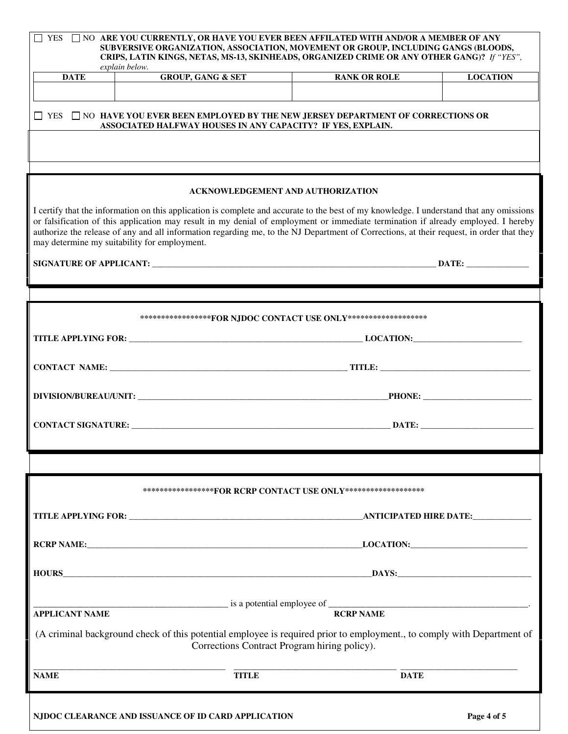|                       | NJDOC CLEARANCE AND ISSUANCE OF ID CARD APPLICATION                                                                                                                                                                                                                                                                                                                                                                                                                       |                                                                  | Page 4 of 5     |
|-----------------------|---------------------------------------------------------------------------------------------------------------------------------------------------------------------------------------------------------------------------------------------------------------------------------------------------------------------------------------------------------------------------------------------------------------------------------------------------------------------------|------------------------------------------------------------------|-----------------|
| <b>NAME</b>           | <b>TITLE</b>                                                                                                                                                                                                                                                                                                                                                                                                                                                              | <b>DATE</b>                                                      |                 |
|                       | (A criminal background check of this potential employee is required prior to employment., to comply with Department of<br>Corrections Contract Program hiring policy).                                                                                                                                                                                                                                                                                                    |                                                                  |                 |
| <b>APPLICANT NAME</b> | $\frac{1}{\text{is a potential employee of}}$ $\frac{1}{\text{RCRP NAME}}$                                                                                                                                                                                                                                                                                                                                                                                                |                                                                  |                 |
|                       |                                                                                                                                                                                                                                                                                                                                                                                                                                                                           |                                                                  |                 |
|                       |                                                                                                                                                                                                                                                                                                                                                                                                                                                                           |                                                                  |                 |
|                       |                                                                                                                                                                                                                                                                                                                                                                                                                                                                           |                                                                  |                 |
|                       |                                                                                                                                                                                                                                                                                                                                                                                                                                                                           |                                                                  |                 |
|                       | ******************FOR RCRP CONTACT USE ONLY********************                                                                                                                                                                                                                                                                                                                                                                                                           |                                                                  |                 |
|                       |                                                                                                                                                                                                                                                                                                                                                                                                                                                                           |                                                                  |                 |
|                       | <b>CONTACT SIGNATURE:</b> DATE:                                                                                                                                                                                                                                                                                                                                                                                                                                           |                                                                  |                 |
|                       |                                                                                                                                                                                                                                                                                                                                                                                                                                                                           |                                                                  |                 |
|                       |                                                                                                                                                                                                                                                                                                                                                                                                                                                                           |                                                                  |                 |
|                       |                                                                                                                                                                                                                                                                                                                                                                                                                                                                           | ******************FOR NJDOC CONTACT USE ONLY******************** |                 |
|                       |                                                                                                                                                                                                                                                                                                                                                                                                                                                                           |                                                                  |                 |
|                       |                                                                                                                                                                                                                                                                                                                                                                                                                                                                           |                                                                  |                 |
|                       | I certify that the information on this application is complete and accurate to the best of my knowledge. I understand that any omissions<br>or falsification of this application may result in my denial of employment or immediate termination if already employed. I hereby<br>authorize the release of any and all information regarding me, to the NJ Department of Corrections, at their request, in order that they<br>may determine my suitability for employment. |                                                                  |                 |
|                       | <b>ACKNOWLEDGEMENT AND AUTHORIZATION</b>                                                                                                                                                                                                                                                                                                                                                                                                                                  |                                                                  |                 |
|                       |                                                                                                                                                                                                                                                                                                                                                                                                                                                                           |                                                                  |                 |
|                       | $\Box$ YES $\Box$ NO HAVE YOU EVER BEEN EMPLOYED BY THE NEW JERSEY DEPARTMENT OF CORRECTIONS OR<br>ASSOCIATED HALFWAY HOUSES IN ANY CAPACITY? IF YES, EXPLAIN.                                                                                                                                                                                                                                                                                                            |                                                                  |                 |
|                       |                                                                                                                                                                                                                                                                                                                                                                                                                                                                           |                                                                  |                 |
| <b>DATE</b>           | SUBVERSIVE ORGANIZATION, ASSOCIATION, MOVEMENT OR GROUP, INCLUDING GANGS (BLOODS,<br>CRIPS, LATIN KINGS, NETAS, MS-13, SKINHEADS, ORGANIZED CRIME OR ANY OTHER GANG)? If "YES",<br>explain below.<br><b>GROUP, GANG &amp; SET</b>                                                                                                                                                                                                                                         | <b>RANK OR ROLE</b>                                              | <b>LOCATION</b> |